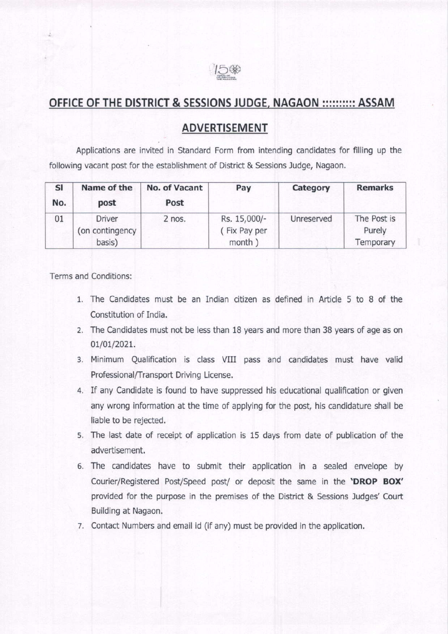

## OFFICE OF THE DISTRICT & SESSIONS JUDGE, NAGAON :::::::::: ASSAM

## ADVERTISEMENT

Applications are invited in Standard Form from intending candidates for filling up the following vacant post for the establishment of District & Sessions ludge, Nagaon,

| SI<br>No. | Name of the<br>post                        | No. of Vacant<br>Post | Pay                                   | Category   | <b>Remarks</b>                     |
|-----------|--------------------------------------------|-----------------------|---------------------------------------|------------|------------------------------------|
| 01        | <b>Driver</b><br>(on contingency<br>basis) | 2 nos.                | Rs. 15,000/-<br>Fix Pay per<br>month) | Unreserved | The Post is<br>Purely<br>Temporary |

Terms and Conditions:

- 1. The Candidates must be an Indian citizen as defrned in Article 5 to 8 of the Constitution of India.
- 2. The Candidates must not be less than 18 years and more than 38 years of age as on 01/01/2021.
- 3. Minimum Qualification is class VIII pass and candidates must have valid Professional/Transport Driving License.
- 4. If any Candidate is found to have suppressed his educational qualification or given any wrong information at the time of applying for the post, his candidature shall be liable to be rejected.
- 5. The last date of receipt of application is 15 days from date of publication of the advertisement.
- 6. The candidates have to submit their application in a sealed envelope by Courier/Registered Post/Speed post/ or deposit the same in the 'DROP BOX' provided for the purpose in the premises of the District & Sessions Judges' Court Building at Nagaon,
- 7. Contact Numbers and email id (if any) must be provided in the application.